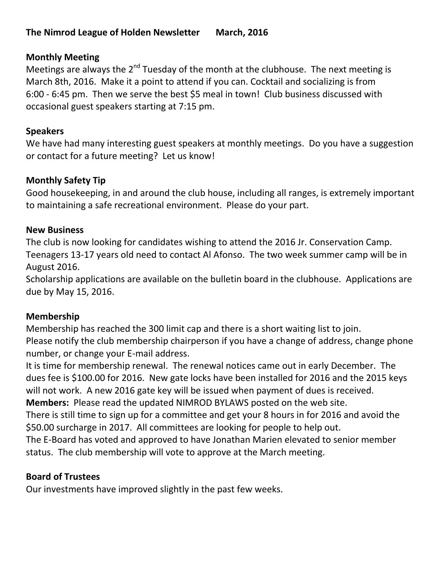# **Monthly Meeting**

Meetings are always the 2<sup>nd</sup> Tuesday of the month at the clubhouse. The next meeting is March 8th, 2016. Make it a point to attend if you can. Cocktail and socializing is from 6:00 - 6:45 pm. Then we serve the best \$5 meal in town! Club business discussed with occasional guest speakers starting at 7:15 pm.

# **Speakers**

We have had many interesting guest speakers at monthly meetings. Do you have a suggestion or contact for a future meeting? Let us know!

# **Monthly Safety Tip**

Good housekeeping, in and around the club house, including all ranges, is extremely important to maintaining a safe recreational environment. Please do your part.

# **New Business**

The club is now looking for candidates wishing to attend the 2016 Jr. Conservation Camp. Teenagers 13-17 years old need to contact Al Afonso. The two week summer camp will be in August 2016.

Scholarship applications are available on the bulletin board in the clubhouse. Applications are due by May 15, 2016.

# **Membership**

Membership has reached the 300 limit cap and there is a short waiting list to join. Please notify the club membership chairperson if you have a change of address, change phone number, or change your E-mail address.

It is time for membership renewal. The renewal notices came out in early December. The dues fee is \$100.00 for 2016. New gate locks have been installed for 2016 and the 2015 keys will not work. A new 2016 gate key will be issued when payment of dues is received. **Members:** Please read the updated NIMROD BYLAWS posted on the web site.

There is still time to sign up for a committee and get your 8 hours in for 2016 and avoid the \$50.00 surcharge in 2017. All committees are looking for people to help out.

The E-Board has voted and approved to have Jonathan Marien elevated to senior member status. The club membership will vote to approve at the March meeting.

# **Board of Trustees**

Our investments have improved slightly in the past few weeks.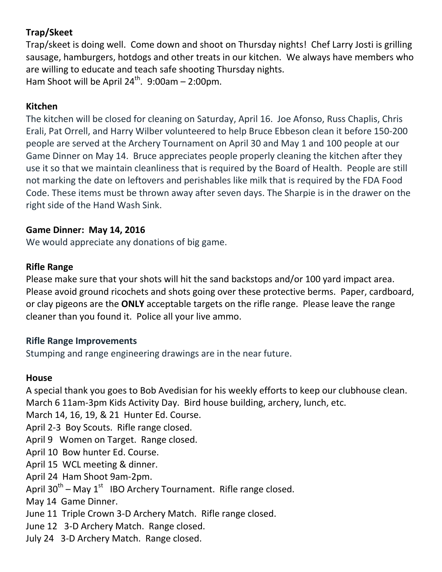# **Trap/Skeet**

Trap/skeet is doing well. Come down and shoot on Thursday nights! Chef Larry Josti is grilling sausage, hamburgers, hotdogs and other treats in our kitchen. We always have members who are willing to educate and teach safe shooting Thursday nights. Ham Shoot will be April  $24^{th}$ . 9:00am - 2:00pm.

# **Kitchen**

The kitchen will be closed for cleaning on Saturday, April 16. Joe Afonso, Russ Chaplis, Chris Erali, Pat Orrell, and Harry Wilber volunteered to help Bruce Ebbeson clean it before 150-200 people are served at the Archery Tournament on April 30 and May 1 and 100 people at our Game Dinner on May 14. Bruce appreciates people properly cleaning the kitchen after they use it so that we maintain cleanliness that is required by the Board of Health. People are still not marking the date on leftovers and perishables like milk that is required by the FDA Food Code. These items must be thrown away after seven days. The Sharpie is in the drawer on the right side of the Hand Wash Sink.

### **Game Dinner: May 14, 2016**

We would appreciate any donations of big game.

# **Rifle Range**

Please make sure that your shots will hit the sand backstops and/or 100 yard impact area. Please avoid ground ricochets and shots going over these protective berms. Paper, cardboard, or clay pigeons are the **ONLY** acceptable targets on the rifle range. Please leave the range cleaner than you found it. Police all your live ammo.

# **Rifle Range Improvements**

Stumping and range engineering drawings are in the near future.

# **House**

A special thank you goes to Bob Avedisian for his weekly efforts to keep our clubhouse clean. March 6 11am-3pm Kids Activity Day. Bird house building, archery, lunch, etc.

March 14, 16, 19, & 21 Hunter Ed. Course.

April 2-3 Boy Scouts. Rifle range closed.

April 9 Women on Target. Range closed.

April 10 Bow hunter Ed. Course.

April 15 WCL meeting & dinner.

April 24 Ham Shoot 9am-2pm.

April 30<sup>th</sup> – May 1<sup>st</sup> IBO Archery Tournament. Rifle range closed.

May 14 Game Dinner.

June 11 Triple Crown 3-D Archery Match. Rifle range closed.

June 12 3-D Archery Match. Range closed.

July 24 3-D Archery Match. Range closed.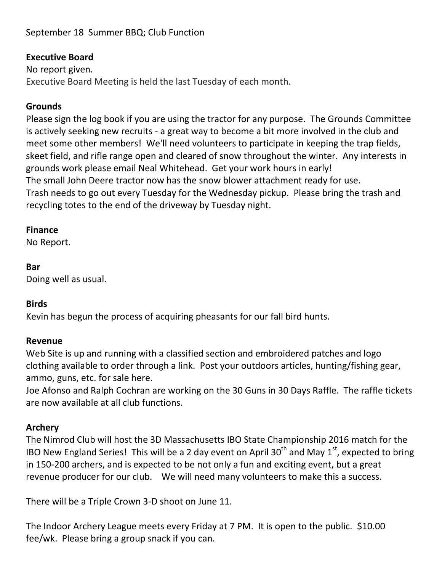# September 18 Summer BBQ; Club Function

## **Executive Board**

No report given. Executive Board Meeting is held the last Tuesday of each month.

# **Grounds**

Please sign the log book if you are using the tractor for any purpose. The Grounds Committee is actively seeking new recruits - a great way to become a bit more involved in the club and meet some other members! We'll need volunteers to participate in keeping the trap fields, skeet field, and rifle range open and cleared of snow throughout the winter. Any interests in grounds work please email Neal Whitehead. Get your work hours in early! The small John Deere tractor now has the snow blower attachment ready for use. Trash needs to go out every Tuesday for the Wednesday pickup. Please bring the trash and recycling totes to the end of the driveway by Tuesday night.

### **Finance**

No Report.

#### **Bar**

Doing well as usual.

### **Birds**

Kevin has begun the process of acquiring pheasants for our fall bird hunts.

### **Revenue**

Web Site is up and running with a classified section and embroidered patches and logo clothing available to order through a link. Post your outdoors articles, hunting/fishing gear, ammo, guns, etc. for sale here.

Joe Afonso and Ralph Cochran are working on the 30 Guns in 30 Days Raffle. The raffle tickets are now available at all club functions.

### **Archery**

The Nimrod Club will host the 3D Massachusetts IBO State Championship 2016 match for the IBO New England Series! This will be a 2 day event on April 30<sup>th</sup> and May 1<sup>st</sup>, expected to bring in 150-200 archers, and is expected to be not only a fun and exciting event, but a great revenue producer for our club. We will need many volunteers to make this a success.

There will be a Triple Crown 3-D shoot on June 11.

The Indoor Archery League meets every Friday at 7 PM. It is open to the public. \$10.00 fee/wk. Please bring a group snack if you can.